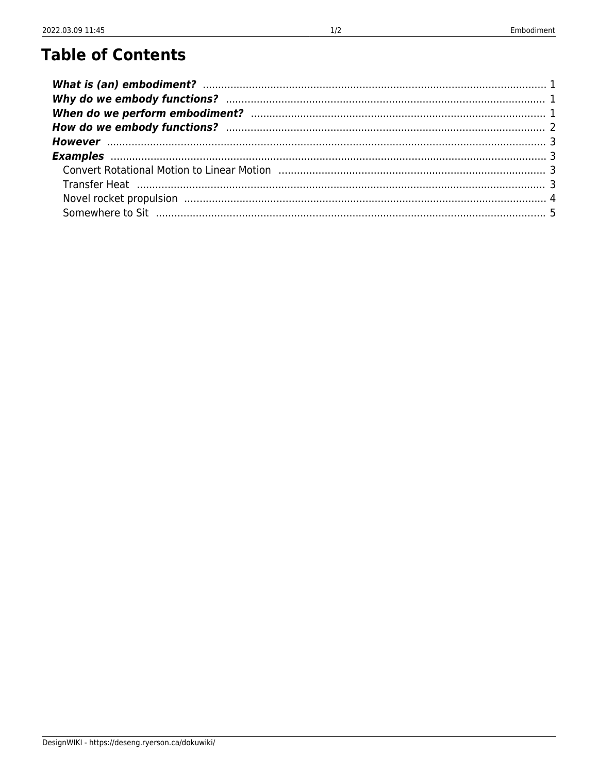# **Table of Contents**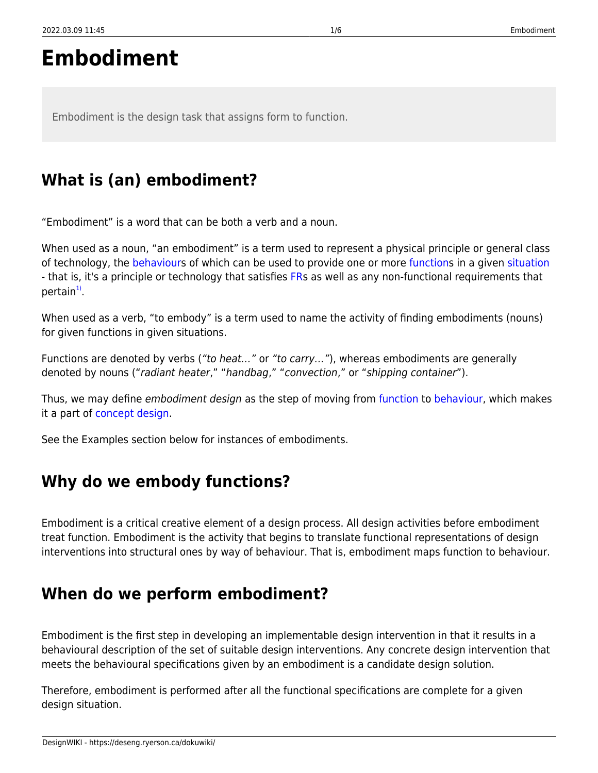# **Embodiment**

Embodiment is the design task that assigns form to function.

# <span id="page-2-0"></span>**What is (an) embodiment?**

"Embodiment" is a word that can be both a verb and a noun.

When used as a noun, "an embodiment" is a term used to represent a physical principle or general class of technology, the [behaviours](https://deseng.ryerson.ca/dokuwiki/design:behaviour) of which can be used to provide one or more [functions](https://deseng.ryerson.ca/dokuwiki/design:function) in a given [situation](https://deseng.ryerson.ca/dokuwiki/design:situation) - that is, it's a principle or technology that satisfies [FR](https://deseng.ryerson.ca/dokuwiki/design:fr)s as well as any non-functional requirements that pertain<sup>[1\)](#page--1-0)</sup>.

When used as a verb, "to embody" is a term used to name the activity of finding embodiments (nouns) for given functions in given situations.

Functions are denoted by verbs ("to heat..." or "to carry..."), whereas embodiments are generally denoted by nouns ("radiant heater," "handbag," "convection," or "shipping container").

Thus, we may define embodiment design as the step of moving from [function](https://deseng.ryerson.ca/dokuwiki/design:function) to [behaviour](https://deseng.ryerson.ca/dokuwiki/design:behaviour), which makes it a part of [concept design](https://deseng.ryerson.ca/dokuwiki/design:concept_design).

See the Examples section below for instances of embodiments.

# <span id="page-2-1"></span>**Why do we embody functions?**

Embodiment is a critical creative element of a design process. All design activities before embodiment treat function. Embodiment is the activity that begins to translate functional representations of design interventions into structural ones by way of behaviour. That is, embodiment maps function to behaviour.

# <span id="page-2-2"></span>**When do we perform embodiment?**

Embodiment is the first step in developing an implementable design intervention in that it results in a behavioural description of the set of suitable design interventions. Any concrete design intervention that meets the behavioural specifications given by an embodiment is a candidate design solution.

Therefore, embodiment is performed after all the functional specifications are complete for a given design situation.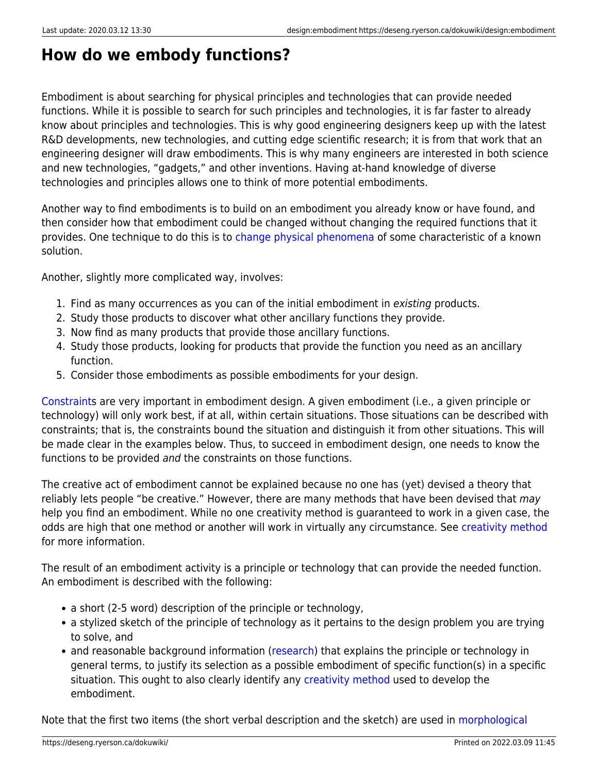## <span id="page-3-0"></span>**How do we embody functions?**

Embodiment is about searching for physical principles and technologies that can provide needed functions. While it is possible to search for such principles and technologies, it is far faster to already know about principles and technologies. This is why good engineering designers keep up with the latest R&D developments, new technologies, and cutting edge scientific research; it is from that work that an engineering designer will draw embodiments. This is why many engineers are interested in both science and new technologies, "gadgets," and other inventions. Having at-hand knowledge of diverse technologies and principles allows one to think of more potential embodiments.

Another way to find embodiments is to build on an embodiment you already know or have found, and then consider how that embodiment could be changed without changing the required functions that it provides. One technique to do this is to [change physical phenomena](https://deseng.ryerson.ca/dokuwiki/design:change_physical_phenomena) of some characteristic of a known solution.

Another, slightly more complicated way, involves:

- 1. Find as many occurrences as you can of the initial embodiment in existing products.
- 2. Study those products to discover what other ancillary functions they provide.
- 3. Now find as many products that provide those ancillary functions.
- 4. Study those products, looking for products that provide the function you need as an ancillary function.
- 5. Consider those embodiments as possible embodiments for your design.

[Constraints](https://deseng.ryerson.ca/dokuwiki/design:constraint) are very important in embodiment design. A given embodiment (i.e., a given principle or technology) will only work best, if at all, within certain situations. Those situations can be described with constraints; that is, the constraints bound the situation and distinguish it from other situations. This will be made clear in the examples below. Thus, to succeed in embodiment design, one needs to know the functions to be provided and the constraints on those functions.

The creative act of embodiment cannot be explained because no one has (yet) devised a theory that reliably lets people "be creative." However, there are many methods that have been devised that may help you find an embodiment. While no one creativity method is guaranteed to work in a given case, the odds are high that one method or another will work in virtually any circumstance. See [creativity method](https://deseng.ryerson.ca/dokuwiki/design:creativity_method) for more information.

The result of an embodiment activity is a principle or technology that can provide the needed function. An embodiment is described with the following:

- a short (2-5 word) description of the principle or technology,
- a stylized sketch of the principle of technology as it pertains to the design problem you are trying to solve, and
- and reasonable background information [\(research\)](https://deseng.ryerson.ca/dokuwiki/design:research) that explains the principle or technology in general terms, to justify its selection as a possible embodiment of specific function(s) in a specific situation. This ought to also clearly identify any [creativity method](https://deseng.ryerson.ca/dokuwiki/design:creativity_method) used to develop the embodiment.

Note that the first two items (the short verbal description and the sketch) are used in [morphological](https://deseng.ryerson.ca/dokuwiki/design:morphological_chart)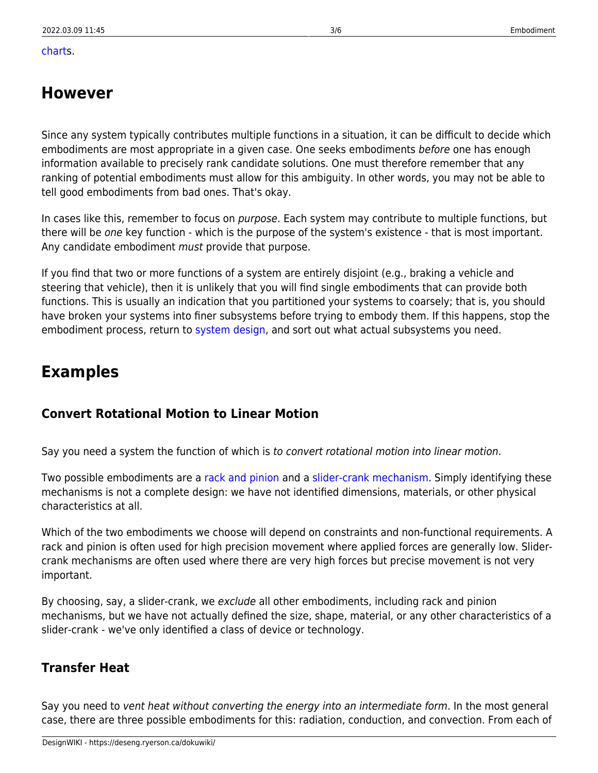#### [chart](https://deseng.ryerson.ca/dokuwiki/design:morphological_chart)s.

## <span id="page-4-0"></span>**However**

Since any system typically contributes multiple functions in a situation, it can be difficult to decide which embodiments are most appropriate in a given case. One seeks embodiments before one has enough information available to precisely rank candidate solutions. One must therefore remember that any ranking of potential embodiments must allow for this ambiguity. In other words, you may not be able to tell good embodiments from bad ones. That's okay.

In cases like this, remember to focus on *purpose*. Each system may contribute to multiple functions, but there will be one key function - which is the purpose of the system's existence - that is most important. Any candidate embodiment must provide that purpose.

If you find that two or more functions of a system are entirely disjoint (e.g., braking a vehicle and steering that vehicle), then it is unlikely that you will find single embodiments that can provide both functions. This is usually an indication that you partitioned your systems to coarsely; that is, you should have broken your systems into finer subsystems before trying to embody them. If this happens, stop the embodiment process, return to [system design,](https://deseng.ryerson.ca/dokuwiki/design:system_design) and sort out what actual subsystems you need.

## <span id="page-4-1"></span>**Examples**

## <span id="page-4-2"></span>**Convert Rotational Motion to Linear Motion**

Say you need a system the function of which is to convert rotational motion into linear motion.

Two possible embodiments are a [rack and pinion](http://en.wikipedia.org/wiki/Rack_and_pinion) and a [slider-crank mechanism.](http://mw.concord.org/modeler/showcase/mechanics/SliderCrank.html) Simply identifying these mechanisms is not a complete design: we have not identified dimensions, materials, or other physical characteristics at all.

Which of the two embodiments we choose will depend on constraints and non-functional requirements. A rack and pinion is often used for high precision movement where applied forces are generally low. Slidercrank mechanisms are often used where there are very high forces but precise movement is not very important.

By choosing, say, a slider-crank, we exclude all other embodiments, including rack and pinion mechanisms, but we have not actually defined the size, shape, material, or any other characteristics of a slider-crank - we've only identified a class of device or technology.

## <span id="page-4-3"></span>**Transfer Heat**

Say you need to vent heat without converting the energy into an intermediate form. In the most general case, there are three possible embodiments for this: radiation, conduction, and convection. From each of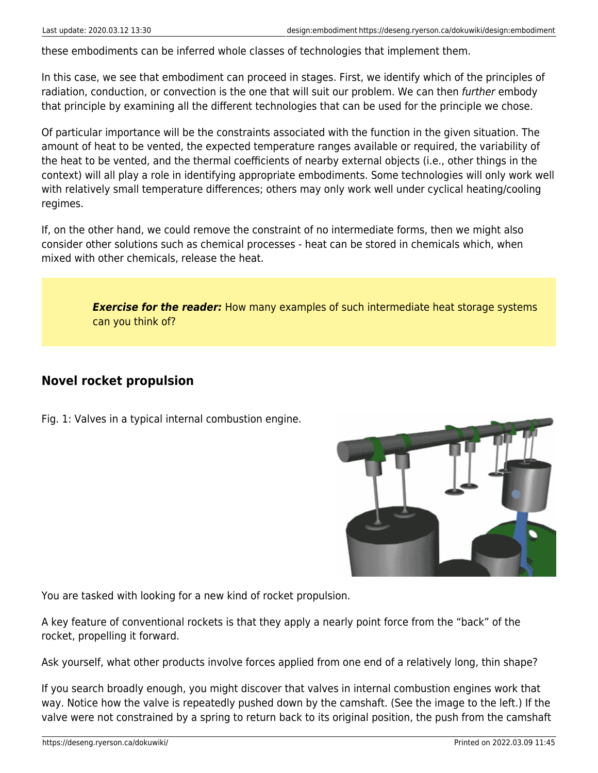these embodiments can be inferred whole classes of technologies that implement them.

In this case, we see that embodiment can proceed in stages. First, we identify which of the principles of radiation, conduction, or convection is the one that will suit our problem. We can then further embody that principle by examining all the different technologies that can be used for the principle we chose.

Of particular importance will be the constraints associated with the function in the given situation. The amount of heat to be vented, the expected temperature ranges available or required, the variability of the heat to be vented, and the thermal coefficients of nearby external objects (i.e., other things in the context) will all play a role in identifying appropriate embodiments. Some technologies will only work well with relatively small temperature differences; others may only work well under cyclical heating/cooling regimes.

If, on the other hand, we could remove the constraint of no intermediate forms, then we might also consider other solutions such as chemical processes - heat can be stored in chemicals which, when mixed with other chemicals, release the heat.

> *Exercise for the reader:* How many examples of such intermediate heat storage systems can you think of?

## <span id="page-5-0"></span>**Novel rocket propulsion**

Fig. 1: Valves in a typical internal combustion engine.



You are tasked with looking for a new kind of rocket propulsion.

A key feature of conventional rockets is that they apply a nearly point force from the "back" of the rocket, propelling it forward.

Ask yourself, what other products involve forces applied from one end of a relatively long, thin shape?

If you search broadly enough, you might discover that valves in internal combustion engines work that way. Notice how the valve is repeatedly pushed down by the camshaft. (See the image to the left.) If the valve were not constrained by a spring to return back to its original position, the push from the camshaft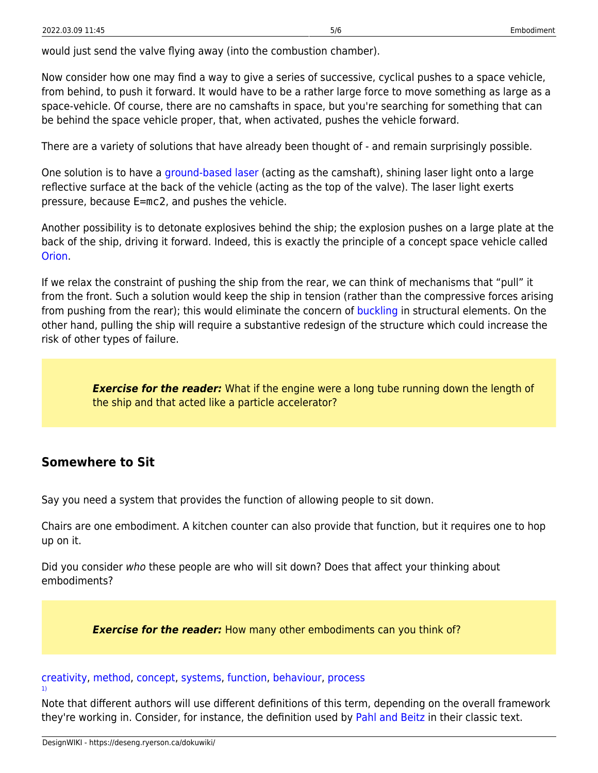would just send the valve flying away (into the combustion chamber).

Now consider how one may find a way to give a series of successive, cyclical pushes to a space vehicle, from behind, to push it forward. It would have to be a rather large force to move something as large as a space-vehicle. Of course, there are no camshafts in space, but you're searching for something that can be behind the space vehicle proper, that, when activated, pushes the vehicle forward.

There are a variety of solutions that have already been thought of - and remain surprisingly possible.

One solution is to have a [ground-based laser](http://en.wikipedia.org/wiki/Laser_propulsion) (acting as the camshaft), shining laser light onto a large reflective surface at the back of the vehicle (acting as the top of the valve). The laser light exerts pressure, because E=mc2, and pushes the vehicle.

Another possibility is to detonate explosives behind the ship; the explosion pushes on a large plate at the back of the ship, driving it forward. Indeed, this is exactly the principle of a concept space vehicle called [Orion](http://en.wikipedia.org/wiki/Project_Orion_(nuclear_propulsion)).

If we relax the constraint of pushing the ship from the rear, we can think of mechanisms that "pull" it from the front. Such a solution would keep the ship in tension (rather than the compressive forces arising from pushing from the rear); this would eliminate the concern of [buckling](http://en.wikipedia.org/wiki/Buckling) in structural elements. On the other hand, pulling the ship will require a substantive redesign of the structure which could increase the risk of other types of failure.

*Exercise for the reader:* What if the engine were a long tube running down the length of the ship and that acted like a particle accelerator?

### <span id="page-6-0"></span>**Somewhere to Sit**

Say you need a system that provides the function of allowing people to sit down.

Chairs are one embodiment. A kitchen counter can also provide that function, but it requires one to hop up on it.

Did you consider who these people are who will sit down? Does that affect your thinking about embodiments?

**Exercise for the reader:** How many other embodiments can you think of?

#### [creativity](https://deseng.ryerson.ca/dokuwiki/tag:creativity?do=showtag&tag=creativity), [method,](https://deseng.ryerson.ca/dokuwiki/tag:method?do=showtag&tag=method) [concept](https://deseng.ryerson.ca/dokuwiki/tag:concept?do=showtag&tag=concept), [systems,](https://deseng.ryerson.ca/dokuwiki/tag:systems?do=showtag&tag=systems) [function](https://deseng.ryerson.ca/dokuwiki/tag:function?do=showtag&tag=function), [behaviour](https://deseng.ryerson.ca/dokuwiki/tag:behaviour?do=showtag&tag=behaviour), [process](https://deseng.ryerson.ca/dokuwiki/tag:process?do=showtag&tag=process)

Note that different authors will use different definitions of this term, depending on the overall framework they're working in. Consider, for instance, the definition used by [Pahl and Beitz](https://books.google.ca/books?id=57aWTCE3gE0C&pg=PA227&lpg=PA227&dq=embodiment+engineering+design&source=bl&ots=Uc-bTV5SSb&sig=peSB1TsGsz_cNUIFHIQ6l0VUuQY&hl=en&sa=X&ved=0ahUKEwik06Kww_XNAhUBYT4KHXWFDXkQ6AEIUTAI#v=onepage&q=embodiment%20engineering%20design&f=false) in their classic text.

[1\)](#page--1-0)